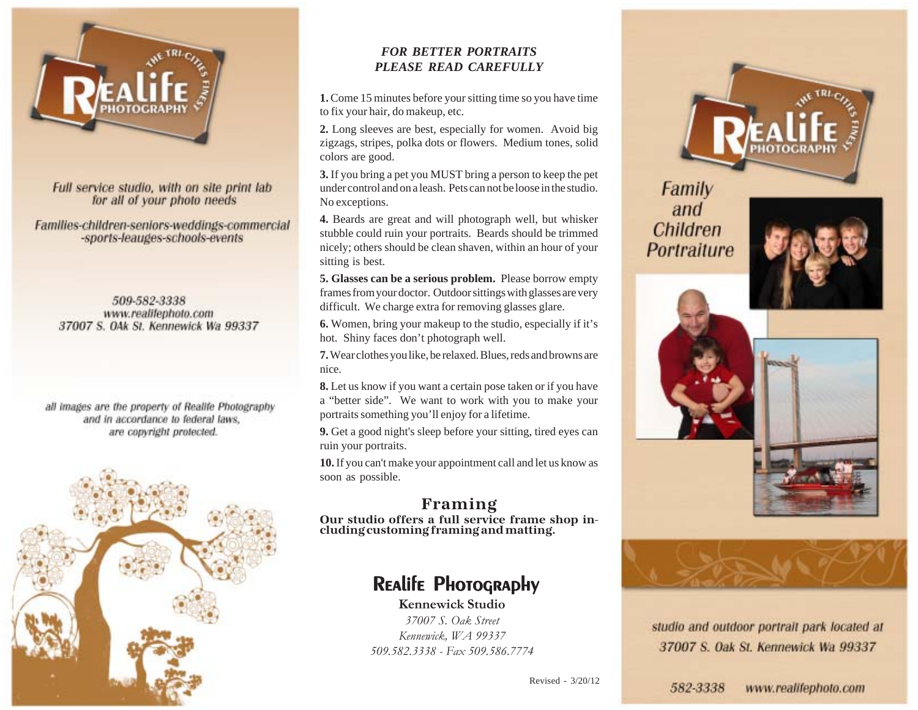

Full service studio, with on site print lab for all of your photo needs

Families-children-seniors-weddings-commercial -sports-leauges-schools-events

509-582-3338 www.realifephoto.com 37007 S. OAk St. Kennewick Wa 99337

all images are the property of Realife Photography and in accordance to federal laws, are copyright protected.



#### *FOR BETTER PORTRAITS PLEASE READ CAREFULLY*

**1.** Come 15 minutes before your sitting time so you have time to fix your hair, do makeup, etc.

**2.** Long sleeves are best, especially for women. Avoid big zigzags, stripes, polka dots or flowers. Medium tones, solid colors are good.

**3.** If you bring a pet you MUST bring a person to keep the pet under control and on a leash. Pets can not be loose in the studio. No exceptions.

**4.** Beards are great and will photograph well, but whisker stubble could ruin your portraits. Beards should be trimmed nicely; others should be clean shaven, within an hour of your sitting is best.

**5. Glasses can be a serious problem.** Please borrow empty frames from your doctor. Outdoor sittings with glasses are very difficult. We charge extra for removing glasses glare.

**6.** Women, bring your makeup to the studio, especially if it's hot. Shiny faces don't photograph well.

**7.** Wear clothes you like, be relaxed. Blues, reds and browns are nice.

**8.** Let us know if you want a certain pose taken or if you have a "better side". We want to work with you to make your portraits something you'll enjoy for a lifetime.

**9.** Get a good night's sleep before your sitting, tired eyes can ruin your portraits.

**10.** If you can't make your appointment call and let us know as soon as possible.

### **Framing**

**Our studio offers a full service frame shop including customing framing and matting.**

## **REALIFE PHOTOGRAPHY**

**Kennewick Studio** *37007 S. Oak Street Kennewick, WA 99337 509.582.3338 - Fax 509.586.7774*

Family and Children Portraiture









studio and outdoor portrait park located at 37007 S. Oak St. Kennewick Wa 99337